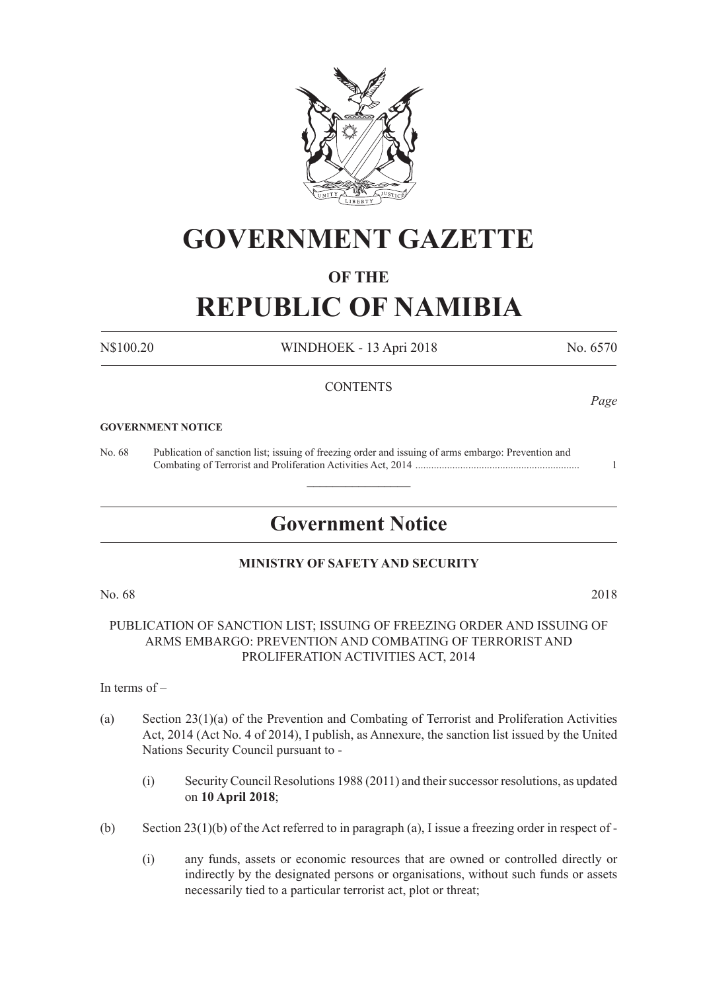

# **GOVERNMENT GAZETTE**

### **OF THE**

# **REPUBLIC OF NAMIBIA**

N\$100.20 WINDHOEK - 13 Apri 2018 No. 6570

#### **CONTENTS**

#### **GOVERNMENT NOTICE**

No. 68 Publication of sanction list; issuing of freezing order and issuing of arms embargo: Prevention and Combating of Terrorist and Proliferation Activities Act, 2014 .............................................................. 1

### **Government Notice**

 $\frac{1}{2}$ 

#### **MINISTRY OF SAFETY AND SECURITY**

No. 68 2018

PUBLICATION OF SANCTION LIST; ISSUING OF FREEZING ORDER AND ISSUING OF ARMS EMBARGO: PREVENTION AND COMBATING OF TERRORIST AND PROLIFERATION ACTIVITIES ACT, 2014

In terms of –

- (a) Section 23(1)(a) of the Prevention and Combating of Terrorist and Proliferation Activities Act, 2014 (Act No. 4 of 2014), I publish, as Annexure, the sanction list issued by the United Nations Security Council pursuant to -
	- (i) Security Council Resolutions 1988 (2011) and their successor resolutions, as updated on **10 April 2018**;
- (b) Section 23(1)(b) of the Act referred to in paragraph (a), I issue a freezing order in respect of
	- (i) any funds, assets or economic resources that are owned or controlled directly or indirectly by the designated persons or organisations, without such funds or assets necessarily tied to a particular terrorist act, plot or threat;

*Page*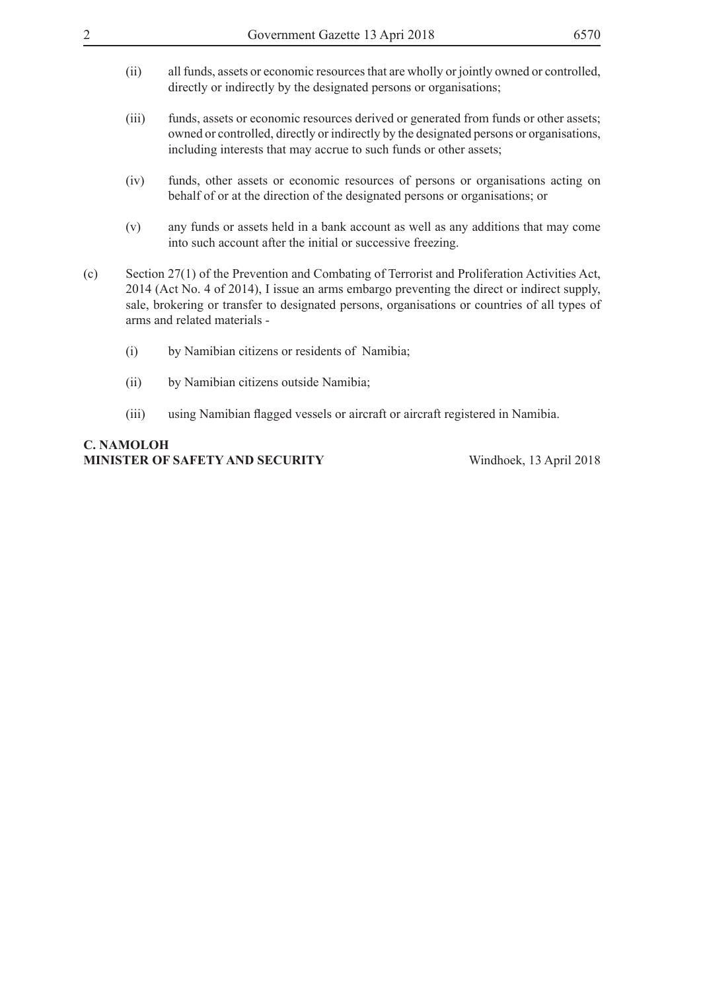- (ii) all funds, assets or economic resources that are wholly or jointly owned or controlled, directly or indirectly by the designated persons or organisations;
- (iii) funds, assets or economic resources derived or generated from funds or other assets; owned or controlled, directly or indirectly by the designated persons or organisations, including interests that may accrue to such funds or other assets;
- (iv) funds, other assets or economic resources of persons or organisations acting on behalf of or at the direction of the designated persons or organisations; or
- (v) any funds or assets held in a bank account as well as any additions that may come into such account after the initial or successive freezing.
- (c) Section 27(1) of the Prevention and Combating of Terrorist and Proliferation Activities Act, 2014 (Act No. 4 of 2014), I issue an arms embargo preventing the direct or indirect supply, sale, brokering or transfer to designated persons, organisations or countries of all types of arms and related materials -
	- (i) by Namibian citizens or residents of Namibia;
	- (ii) by Namibian citizens outside Namibia;
	- (iii) using Namibian flagged vessels or aircraft or aircraft registered in Namibia.

### **C. Namoloh Minister of Safety and Security** Windhoek, 13 April 2018